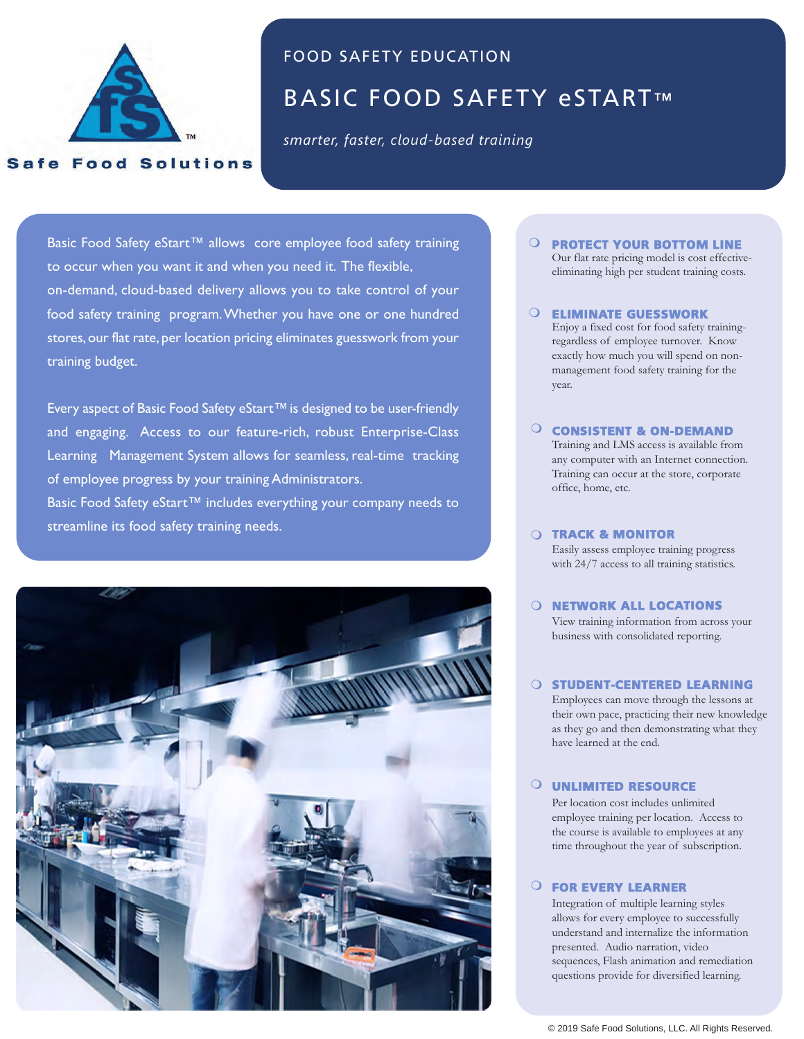

**Safe Food Solutions** 

# FOOD SAFETY EDUCATION

# BASIC FOOD SAFETY eSTART™

*smarter, faster, cloud-based training*

Basic Food Safety eStart™ allows core employee food safety training to occur when you want it and when you need it. The flexible, on-demand, cloud-based delivery allows you to take control of your food safety training program. Whether you have one or one hundred stores, our flat rate, per location pricing eliminates guesswork from your training budget.

Every aspect of Basic Food Safety eStart™ is designed to be user-friendly and engaging. Access to our feature-rich, robust Enterprise-Class Learning Management System allows for seamless, real-time tracking of employee progress by your training Administrators. Basic Food Safety eStart™ includes everything your company needs to streamline its food safety training needs.



#### **O PROTECT YOUR BOTTOM LINE** Our flat rate pricing model is cost effective-

eliminating high per student training costs.

# O **ELIMINATE GUESSWORK**

Enjoy a fixed cost for food safety trainingregardless of employee turnover. Know exactly how much you will spend on nonmanagement food safety training for the year.

#### **O CONSISTENT & ON-DEMAND** Training and LMS access is available from

any computer with an Internet connection. Training can occur at the store, corporate office, home, etc.

# O **TRACK & MONITOR**

Easily assess employee training progress with 24/7 access to all training statistics.

**O NETWORK ALL LOCATIONS** View training information from across your business with consolidated reporting.

# **O STUDENT-CENTERED LEARNING**

Employees can move through the lessons at their own pace, practicing their new knowledge as they go and then demonstrating what they have learned at the end.

# O UNLIMITED RESOURCE

Per location cost includes unlimited employee training per location. Access to the course is available to employees at any time throughout the year of subscription.

# O FOR EVERY LEARNER

Integration of multiple learning styles allows for every employee to successfully understand and internalize the information presented. Audio narration, video sequences, Flash animation and remediation questions provide for diversified learning.